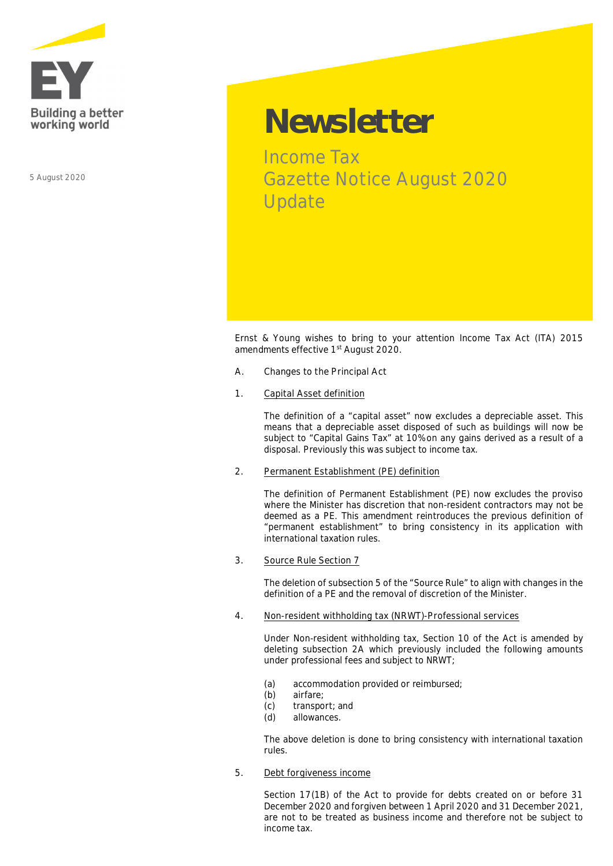

5 August 2020

# **Newsletter**

Income Tax Gazette Notice August 2020 Update

Ernst & Young wishes to bring to your attention Income Tax Act (ITA) 2015 amendments effective 1st August 2020.

- **A. Changes to the Principal Act**
- **1. Capital Asset definition**

The definition of a "capital asset" now excludes a depreciable asset. This means that a depreciable asset disposed of such as buildings will now be subject to "Capital Gains Tax" at 10% on any gains derived as a result of a disposal. Previously this was subject to income tax.

**2. Permanent Establishment (PE) definition**

The definition of Permanent Establishment (PE) now excludes the proviso where the Minister has discretion that non-resident contractors may not be deemed as a PE. This amendment reintroduces the previous definition of "permanent establishment" to bring consistency in its application with international taxation rules.

**3. Source Rule Section 7**

The deletion of subsection 5 of the "Source Rule" to align with changes in the definition of a PE and the removal of discretion of the Minister.

**4. Non-resident withholding tax (NRWT)-Professional services**

Under Non-resident withholding tax, Section 10 of the Act is amended by deleting subsection 2A which previously included the following amounts under professional fees and subject to NRWT;

- (a) accommodation provided or reimbursed;
- (b) airfare;
- (c) transport; and<br>(d) allowances.
- allowances

The above deletion is done to bring consistency with international taxation rules.

**5. Debt forgiveness income**

Section 17(1B) of the Act to provide for debts created on or before 31 December 2020 and forgiven between 1 April 2020 and 31 December 2021, are not to be treated as business income and therefore not be subject to income tax.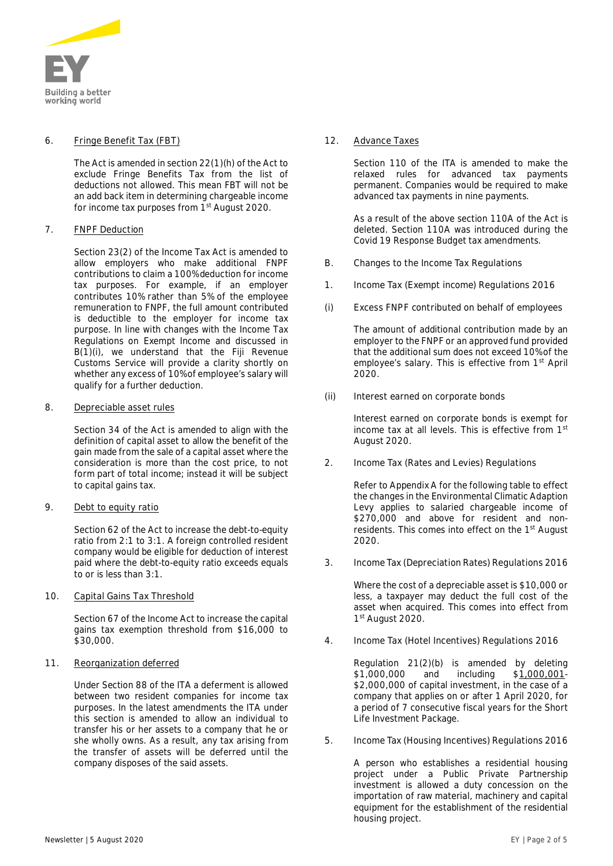

### **6. Fringe Benefit Tax (FBT)**

The Act is amended in section 22(1)(h) of the Act to exclude Fringe Benefits Tax from the list of deductions not allowed. This mean FBT will not be an add back item in determining chargeable income for income tax purposes from 1<sup>st</sup> August 2020.

# **7. FNPF Deduction**

Section 23(2) of the Income Tax Act is amended to allow employers who make additional FNPF contributions to claim a 100% deduction for income tax purposes. For example, if an employer contributes 10% rather than 5% of the employee remuneration to FNPF, the full amount contributed is deductible to the employer for income tax purpose. In line with changes with the Income Tax Regulations on Exempt Income and discussed in B(1)(i), we understand that the Fiji Revenue Customs Service will provide a clarity shortly on whether any excess of 10% of employee's salary will qualify for a further deduction.

### **8. Depreciable asset rules**

Section 34 of the Act is amended to align with the definition of capital asset to allow the benefit of the gain made from the sale of a capital asset where the consideration is more than the cost price, to not form part of total income; instead it will be subject to capital gains tax.

# **9. Debt to equity ratio**

Section 62 of the Act to increase the debt-to-equity ratio from 2:1 to 3:1. A foreign controlled resident company would be eligible for deduction of interest paid where the debt-to-equity ratio exceeds equals to or is less than 3:1.

# **10. Capital Gains Tax Threshold**

Section 67 of the Income Act to increase the capital gains tax exemption threshold from \$16,000 to \$30,000.

# **11. Reorganization deferred**

Under Section 88 of the ITA a deferment is allowed between two resident companies for income tax purposes. In the latest amendments the ITA under this section is amended to allow an *individual to transfer his or her assets to a company* that he or she wholly owns. As a result, any tax arising from the transfer of assets will be deferred until the company disposes of the said assets.

# **12. Advance Taxes**

Section 110 of the ITA is amended to make the relaxed rules for advanced tax payments permanent. Companies would be required to make advanced tax payments in nine payments.

As a result of the above section 110A of the Act is deleted. Section 110A was introduced during the Covid 19 Response Budget tax amendments.

- **B. Changes to the Income Tax Regulations**
- **1. Income Tax (Exempt income) Regulations 2016**
- **(i) Excess FNPF contributed on behalf of employees**

The amount of additional contribution made by an employer to the FNPF or an approved fund provided that the additional sum does not exceed 10% of the employee's salary. This is effective from 1<sup>st</sup> April 2020.

**(ii) Interest earned on corporate bonds**

Interest earned on corporate bonds is exempt for income tax at all levels. This is effective from 1st August 2020.

**2. Income Tax (Rates and Levies) Regulations**

Refer to Appendix A for the following table to effect the changes in the Environmental Climatic Adaption Levy applies to salaried chargeable income of \$270,000 and above for resident and nonresidents. This comes into effect on the 1<sup>st</sup> August 2020.

**3. Income Tax (Depreciation Rates) Regulations 2016**

Where the cost of a depreciable asset is \$10,000 or less, a taxpayer may deduct the full cost of the asset when acquired. This comes into effect from 1st August 2020.

**4. Income Tax (Hotel Incentives) Regulations 2016**

Regulation 21(2)(b) is amended by deleting \$1,000,000 and including \$**1,000,001**- \$2,000,000 of capital investment, in the case of a company that applies on or after 1 April 2020, for a period of 7 consecutive fiscal years for the Short Life Investment Package.

**5. Income Tax (Housing Incentives) Regulations 2016**

A person who establishes a residential housing project under a Public Private Partnership investment is allowed a duty concession on the importation of raw material, machinery and capital equipment for the establishment of the residential housing project.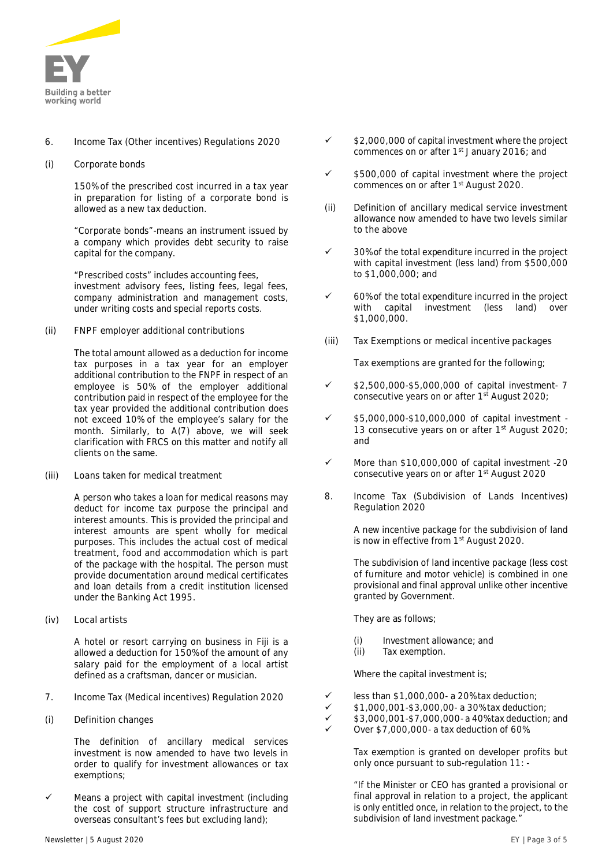

# **6. Income Tax (Other incentives) Regulations 2020**

**(i) Corporate bonds**

150% of the prescribed cost incurred in a tax year in preparation for listing of a corporate bond is allowed as a new tax deduction.

*"Corporate bonds"-means an instrument issued by a company which provides debt security to raise capital for the company.*

*"Prescribed costs" includes accounting fees, investment advisory fees, listing fees, legal fees, company administration and management costs, under writing costs and special reports costs.*

**(ii) FNPF employer additional contributions**

The total amount allowed as a deduction for income tax purposes in a tax year for an employer additional contribution to the FNPF in respect of an employee is 50% of the employer additional contribution paid in respect of the employee for the tax year provided the additional contribution does not exceed 10% of the employee's salary for the month. Similarly, to A(7) above, we will seek clarification with FRCS on this matter and notify all clients on the same.

**(iii) Loans taken for medical treatment**

A person who takes a loan for medical reasons may deduct for income tax purpose the principal and interest amounts. This is provided the principal and interest amounts are spent wholly for medical purposes. This includes the actual cost of medical treatment, food and accommodation which is part of the package with the hospital. The person must provide documentation around medical certificates and loan details from a credit institution licensed under the Banking Act 1995.

**(iv) Local artists**

A hotel or resort carrying on business in Fiji is a allowed a deduction for 150% of the amount of any salary paid for the employment of a local artist defined as a craftsman, dancer or musician.

- **7. Income Tax (Medical incentives) Regulation 2020**
- **(i) Definition changes**

The definition of ancillary medical services investment is now amended to have two levels in order to qualify for investment allowances or tax exemptions;

Means a project with capital investment (including the cost of support structure infrastructure and overseas consultant's fees but excluding land);

- $\checkmark$  \$2,000,000 of capital investment where the project commences on or after 1st January 2016; and
- \$500,000 of capital investment where the project commences on or after 1<sup>st</sup> August 2020.
- **(ii) Definition of ancillary medical service investment allowance now amended to have two levels similar to the above**
- 30% of the total expenditure incurred in the project with capital investment (less land) from \$500,000 to \$1,000,000; and
- 60% of the total expenditure incurred in the project with capital investment (less land) over \$1,000,000.
- **(iii) Tax Exemptions or medical incentive packages**

Tax exemptions are granted for the following;

- ü \$2,500,000-\$5,000,000 of capital investment- 7 consecutive years on or after  $1<sup>st</sup>$  August 2020;
- ü \$5,000,000-\$10,000,000 of capital investment 13 consecutive years on or after 1<sup>st</sup> August 2020; and
- $\checkmark$  More than \$10,000,000 of capital investment -20 consecutive years on or after 1<sup>st</sup> August 2020
- **8. Income Tax (Subdivision of Lands Incentives) Regulation 2020**

A new incentive package for the subdivision of land is now in effective from 1<sup>st</sup> August 2020.

The subdivision of land incentive package (less cost of furniture and motor vehicle) is combined in one provisional and final approval unlike other incentive granted by Government.

They are as follows;

- (i) Investment allowance; and
- (ii) Tax exemption.

Where the capital investment is;

- $less than $1,000,000- a 20% tax deduction:$
- ü \$1,000,001-\$3,000,00- a 30% tax deduction;
- ü \$3,000,001-\$7,000,000- a 40% tax deduction; and
- ü Over \$7,000,000- a tax deduction of 60%.

Tax exemption is granted on developer profits but only once pursuant to sub-regulation 11: -

*"If the Minister or CEO has granted a provisional or final approval in relation to a project, the applicant is only entitled once, in relation to the project, to the subdivision of land investment package."*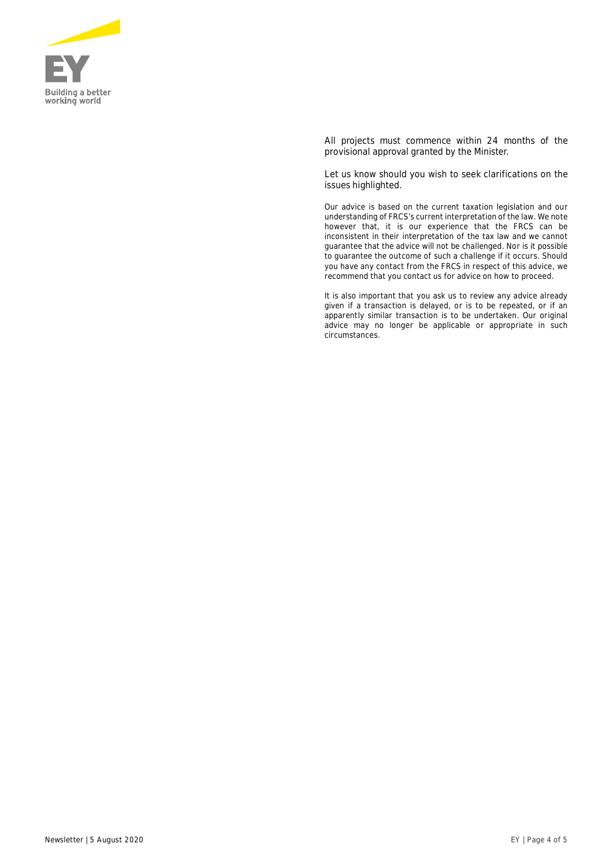

All projects must commence within 24 months of the provisional approval granted by the Minister.

Let us know should you wish to seek clarifications on the issues highlighted.

*Our advice is based on the current taxation legislation and our understanding of FRCS's current interpretation of the law. We note however that, it is our experience that the FRCS can be inconsistent in their interpretation of the tax law and we cannot guarantee that the advice will not be challenged. Nor is it possible to guarantee the outcome of such a challenge if it occurs. Should you have any contact from the FRCS in respect of this advice, we recommend that you contact us for advice on how to proceed.*

*It is also important that you ask us to review any advice already given if a transaction is delayed, or is to be repeated, or if an apparently similar transaction is to be undertaken. Our original advice may no longer be applicable or appropriate in such circumstances.*